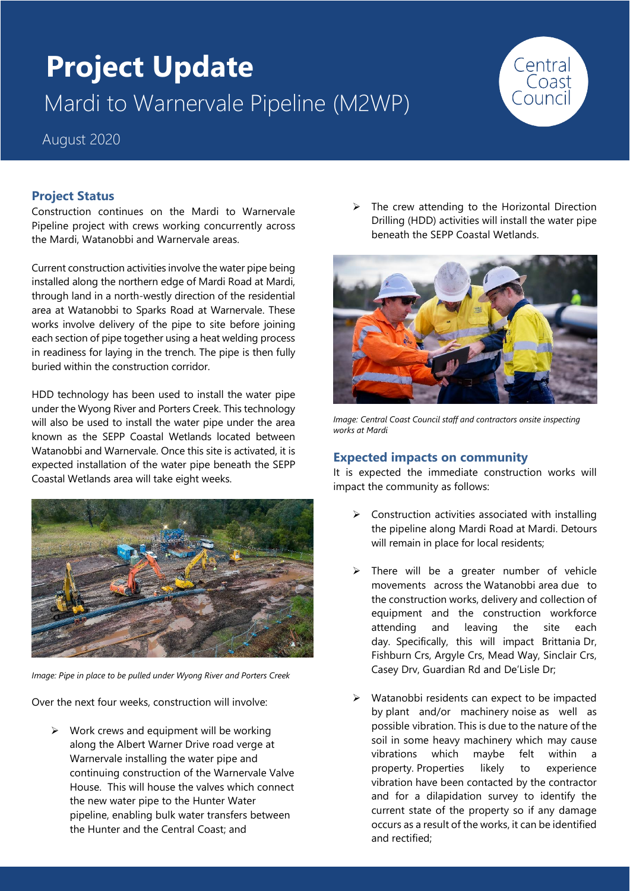# **Project Update** Mardi to Warnervale Pipeline (M2WP)



August 2020

# **Project Status**

Construction continues on the Mardi to Warnervale Pipeline project with crews working concurrently across the Mardi, Watanobbi and Warnervale areas.

Current construction activities involve the water pipe being installed along the northern edge of Mardi Road at Mardi, through land in a north-westly direction of the residential area at Watanobbi to Sparks Road at Warnervale. These works involve delivery of the pipe to site before joining each section of pipe together using a heat welding process in readiness for laying in the trench. The pipe is then fully buried within the construction corridor.

HDD technology has been used to install the water pipe under the Wyong River and Porters Creek. This technology will also be used to install the water pipe under the area known as the SEPP Coastal Wetlands located between Watanobbi and Warnervale. Once this site is activated, it is expected installation of the water pipe beneath the SEPP Coastal Wetlands area will take eight weeks.



*Image: Pipe in place to be pulled under Wyong River and Porters Creek* 

Over the next four weeks, construction will involve:

 $\triangleright$  Work crews and equipment will be working along the Albert Warner Drive road verge at Warnervale installing the water pipe and continuing construction of the Warnervale Valve House. This will house the valves which connect the new water pipe to the Hunter Water pipeline, enabling bulk water transfers between the Hunter and the Central Coast; and

 $\triangleright$  The crew attending to the Horizontal Direction Drilling (HDD) activities will install the water pipe beneath the SEPP Coastal Wetlands.



**Image: Central Coast Council staff and contractors onsite inspecting** *works at Mardi*

## **Expected impacts on community**

It is expected the immediate construction works will impact the community as follows:

- ➢ Construction activities associated with installing the pipeline along Mardi Road at Mardi. Detours will remain in place for local residents;
- ➢ There will be a greater number of vehicle movements across the Watanobbi area due to the construction works, delivery and collection of equipment and the construction workforce attending and leaving the site each day. Specifically, this will impact Brittania Dr, Fishburn Crs, Argyle Crs, Mead Way, Sinclair Crs, Casey Drv, Guardian Rd and De'Lisle Dr;
- ➢ Watanobbi residents can expect to be impacted by plant and/or machinery noise as well as possible vibration. This is due to the nature of the soil in some heavy machinery which may cause vibrations which maybe felt within a property. Properties likely to experience vibration have been contacted by the contractor and for a dilapidation survey to identify the current state of the property so if any damage occurs as a result of the works, it can be identified and rectified;